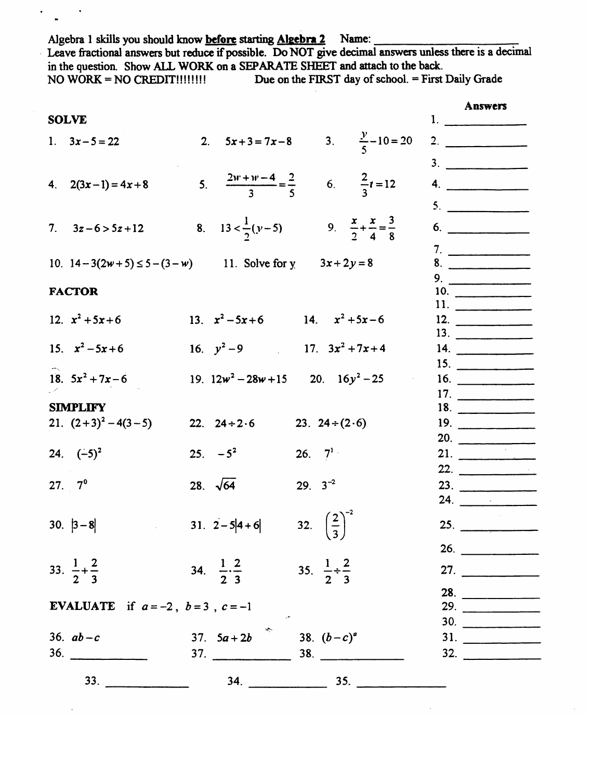Algebra 1 skills you should know before starting Algebra 2 Name: Leave fractional answers but reduce if possible. Do NOT give decimal answers unless there is a decimal in the question. Show ALL WORK on a SEPARATE SHEET and attach to the back. Due on the FIRST day of school. = First Daily Grade NO WORK = NO CREDIT!!!!!!!!

 $\bullet$ 

Ļ,

| <b>SOLVE</b>                                                                                    |                     |
|-------------------------------------------------------------------------------------------------|---------------------|
| 3. $\frac{y}{5} - 10 = 20$<br>2. $5x+3=7x-8$<br>1. $3x-5=22$                                    | 2.                  |
|                                                                                                 |                     |
|                                                                                                 | 3.                  |
| 5. $\frac{2w + w - 4}{3} = \frac{2}{5}$<br>6. $\frac{2}{3}t = 12$<br>4. $2(3x-1) = 4x+8$        | 4.                  |
|                                                                                                 | 5.                  |
|                                                                                                 |                     |
| 8. $13 < \frac{1}{2}(y-5)$<br>9. $\frac{x}{2} + \frac{x}{4} = \frac{3}{8}$<br>7. $3z-6 > 5z+12$ | 6.                  |
|                                                                                                 | 7.                  |
| 10. $14-3(2w+5) \le 5-(3-w)$ 11. Solve for y $3x+2y=8$                                          | 8.                  |
|                                                                                                 | 9.                  |
| <b>FACTOR</b>                                                                                   | 10.                 |
|                                                                                                 | 11.                 |
| 13. $x^2-5x+6$ 14. $x^2+5x-6$<br>12. $x^2 + 5x + 6$                                             | 12.                 |
| 15. $x^2-5x+6$<br>16. $y^2-9$ 17. $3x^2+7x+4$                                                   | 13.                 |
|                                                                                                 | 14.                 |
| 18. $5x^2 + 7x - 6$<br>19. $12w^2 - 28w + 15$ 20. $16y^2 - 25$                                  | 15.                 |
|                                                                                                 | 16.<br>17.          |
| <b>SIMPLIFY</b>                                                                                 | 18.                 |
| 21. $(2+3)^2 - 4(3-5)$<br>22. $24 \div 2.6$<br>23. $24 \div (2.6)$                              | 19.                 |
|                                                                                                 | 20.                 |
| $25. -5^2$<br>26. $7^{1}$<br>24. $(-5)^2$                                                       | 21. $\qquad \qquad$ |
|                                                                                                 | 22. $\qquad$        |
| 29. $3^{-2}$<br>27. $7^{\circ}$<br>28. $\sqrt{64}$                                              | 23.                 |
|                                                                                                 | 24.                 |
|                                                                                                 |                     |
| 32. $\left(\frac{2}{3}\right)^{-2}$<br>31. $2-5 4+6 $<br>30. $ 3-8 $                            | 25.                 |
|                                                                                                 | 26.                 |
| 33. $\frac{1}{2} + \frac{2}{3}$<br>35. $\frac{1}{2} \div \frac{2}{3}$                           |                     |
| 34. $\frac{1}{2} \cdot \frac{2}{3}$                                                             | 27. $\qquad \qquad$ |
|                                                                                                 | 28.                 |
| <b>EVALUATE</b> if $a=-2$ , $b=3$ , $c=-1$                                                      | 29.                 |
|                                                                                                 | 30.                 |
| 37. $5a+2b$<br>38. $(b-c)^a$<br>36. $ab - c$                                                    | 31.                 |
| 36.<br>37.                                                                                      | 32.                 |
| 33.<br>$34.$ 35.                                                                                |                     |